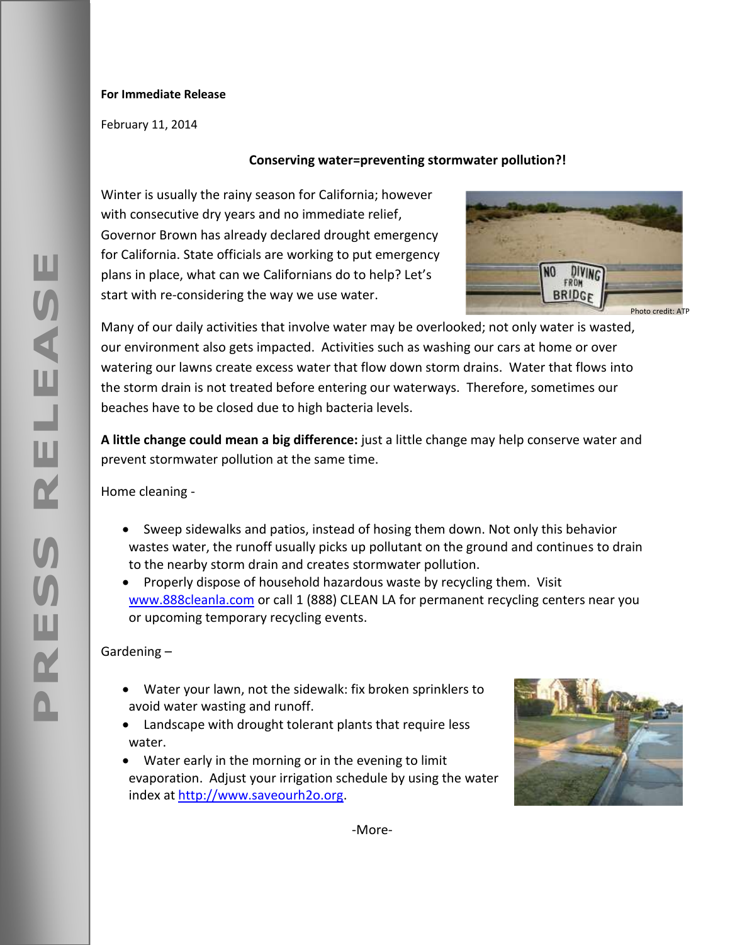## **For Immediate Release**

February 11, 2014

## **Conserving water=preventing stormwater pollution?!**

Winter is usually the rainy season for California; however with consecutive dry years and no immediate relief, Governor Brown has already declared drought emergency for California. State officials are working to put emergency plans in place, what can we Californians do to help? Let's start with re-considering the way we use water.



Many of our daily activities that involve water may be overlooked; not only water is wasted, our environment also gets impacted. Activities such as washing our cars at home or over watering our lawns create excess water that flow down storm drains. Water that flows into the storm drain is not treated before entering our waterways. Therefore, sometimes our beaches have to be closed due to high bacteria levels.

**A little change could mean a big difference:** just a little change may help conserve water and prevent stormwater pollution at the same time.

Home cleaning -

- Sweep sidewalks and patios, instead of hosing them down. Not only this behavior wastes water, the runoff usually picks up pollutant on the ground and continues to drain to the nearby storm drain and creates stormwater pollution.
- Properly dispose of household hazardous waste by recycling them. Visit [www.888cleanla.com](http://www.888cleanla.com/) or call 1 (888) CLEAN LA for permanent recycling centers near you or upcoming temporary recycling events.

Gardening –

- Water your lawn, not the sidewalk: fix broken sprinklers to avoid water wasting and runoff.
- Landscape with drought tolerant plants that require less water.
- Water early in the morning or in the evening to limit evaporation. Adjust your irrigation schedule by using the water index at [http://www.saveourh2o.org.](http://www.saveourh2o.org/)



щ

-More-